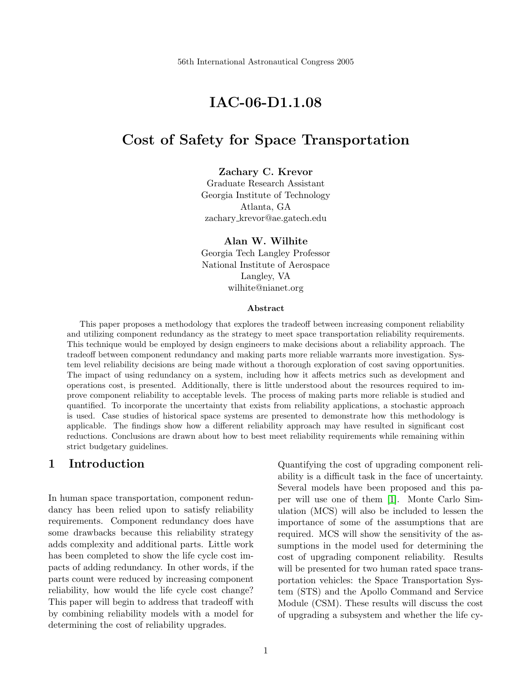# IAC-06-D1.1.08

## Cost of Safety for Space Transportation

#### Zachary C. Krevor

Graduate Research Assistant Georgia Institute of Technology Atlanta, GA zachary krevor@ae.gatech.edu

Alan W. Wilhite Georgia Tech Langley Professor National Institute of Aerospace Langley, VA wilhite@nianet.org

#### Abstract

This paper proposes a methodology that explores the tradeoff between increasing component reliability and utilizing component redundancy as the strategy to meet space transportation reliability requirements. This technique would be employed by design engineers to make decisions about a reliability approach. The tradeoff between component redundancy and making parts more reliable warrants more investigation. System level reliability decisions are being made without a thorough exploration of cost saving opportunities. The impact of using redundancy on a system, including how it affects metrics such as development and operations cost, is presented. Additionally, there is little understood about the resources required to improve component reliability to acceptable levels. The process of making parts more reliable is studied and quantified. To incorporate the uncertainty that exists from reliability applications, a stochastic approach is used. Case studies of historical space systems are presented to demonstrate how this methodology is applicable. The findings show how a different reliability approach may have resulted in significant cost reductions. Conclusions are drawn about how to best meet reliability requirements while remaining within strict budgetary guidelines.

#### 1 Introduction

In human space transportation, component redundancy has been relied upon to satisfy reliability requirements. Component redundancy does have some drawbacks because this reliability strategy adds complexity and additional parts. Little work has been completed to show the life cycle cost impacts of adding redundancy. In other words, if the parts count were reduced by increasing component reliability, how would the life cycle cost change? This paper will begin to address that tradeoff with by combining reliability models with a model for determining the cost of reliability upgrades.

Quantifying the cost of upgrading component reliability is a difficult task in the face of uncertainty. Several models have been proposed and this paper will use one of them [\[1\]](#page-7-0). Monte Carlo Simulation (MCS) will also be included to lessen the importance of some of the assumptions that are required. MCS will show the sensitivity of the assumptions in the model used for determining the cost of upgrading component reliability. Results will be presented for two human rated space transportation vehicles: the Space Transportation System (STS) and the Apollo Command and Service Module (CSM). These results will discuss the cost of upgrading a subsystem and whether the life cy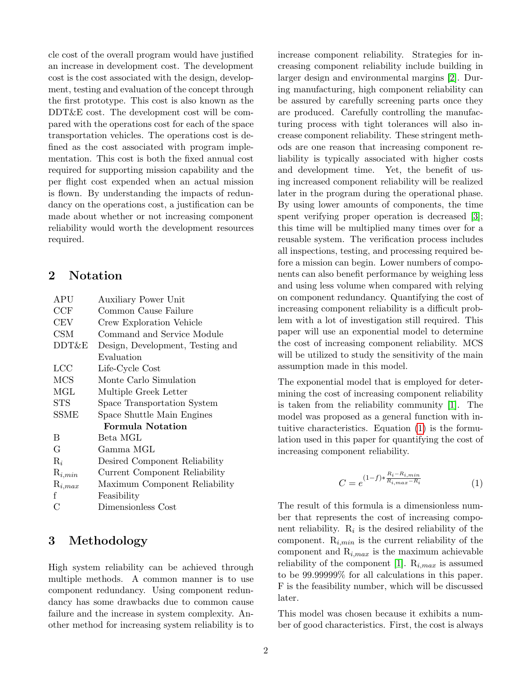cle cost of the overall program would have justified an increase in development cost. The development cost is the cost associated with the design, development, testing and evaluation of the concept through the first prototype. This cost is also known as the DDT&E cost. The development cost will be compared with the operations cost for each of the space transportation vehicles. The operations cost is defined as the cost associated with program implementation. This cost is both the fixed annual cost required for supporting mission capability and the per flight cost expended when an actual mission is flown. By understanding the impacts of redundancy on the operations cost, a justification can be made about whether or not increasing component reliability would worth the development resources required.

#### 2 Notation

| APU                          | <b>Auxiliary Power Unit</b>      |  |
|------------------------------|----------------------------------|--|
| CCF                          | Common Cause Failure             |  |
| $\scriptstyle{\mathrm{CEV}}$ | Crew Exploration Vehicle         |  |
| CSM                          | Command and Service Module       |  |
| DDT&E                        | Design, Development, Testing and |  |
|                              | Evaluation                       |  |
| LCC                          | Life-Cycle Cost                  |  |
| <b>MCS</b>                   | Monte Carlo Simulation           |  |
| MGL                          | Multiple Greek Letter            |  |
| <b>STS</b>                   | Space Transportation System      |  |
| <b>SSME</b>                  | Space Shuttle Main Engines       |  |
|                              | <b>Formula Notation</b>          |  |
| В                            | Beta MGL                         |  |
| G                            | Gamma MGL                        |  |
| $\mathrm{R}_i$               | Desired Component Reliability    |  |
| $\mathrm{R}_{i,min}$         | Current Component Reliability    |  |
| $\mathrm{R}_{i,max}$         | Maximum Component Reliability    |  |
| f                            | Feasibility                      |  |
| С                            | Dimensionless Cost               |  |

### 3 Methodology

High system reliability can be achieved through multiple methods. A common manner is to use component redundancy. Using component redundancy has some drawbacks due to common cause failure and the increase in system complexity. Another method for increasing system reliability is to

increase component reliability. Strategies for increasing component reliability include building in larger design and environmental margins [\[2\]](#page-7-1). During manufacturing, high component reliability can be assured by carefully screening parts once they are produced. Carefully controlling the manufacturing process with tight tolerances will also increase component reliability. These stringent methods are one reason that increasing component reliability is typically associated with higher costs and development time. Yet, the benefit of using increased component reliability will be realized later in the program during the operational phase. By using lower amounts of components, the time spent verifying proper operation is decreased [\[3\]](#page-7-2); this time will be multiplied many times over for a reusable system. The verification process includes all inspections, testing, and processing required before a mission can begin. Lower numbers of components can also benefit performance by weighing less and using less volume when compared with relying on component redundancy. Quantifying the cost of increasing component reliability is a difficult problem with a lot of investigation still required. This paper will use an exponential model to determine the cost of increasing component reliability. MCS will be utilized to study the sensitivity of the main assumption made in this model.

The exponential model that is employed for determining the cost of increasing component reliability is taken from the reliability community [\[1\]](#page-7-0). The model was proposed as a general function with intuitive characteristics. Equation [\(1\)](#page-1-0) is the formulation used in this paper for quantifying the cost of increasing component reliability.

<span id="page-1-0"></span>
$$
C = e^{(1-f)*\frac{R_i - R_{i,min}}{R_{i,max} - R_i}}
$$
(1)

The result of this formula is a dimensionless number that represents the cost of increasing component reliability.  $R_i$  is the desired reliability of the component.  $R_{i,min}$  is the current reliability of the component and  $R_{i,max}$  is the maximum achievable reliability of the component [\[1\]](#page-7-0).  $R_{i,max}$  is assumed to be 99.99999% for all calculations in this paper. F is the feasibility number, which will be discussed later.

This model was chosen because it exhibits a number of good characteristics. First, the cost is always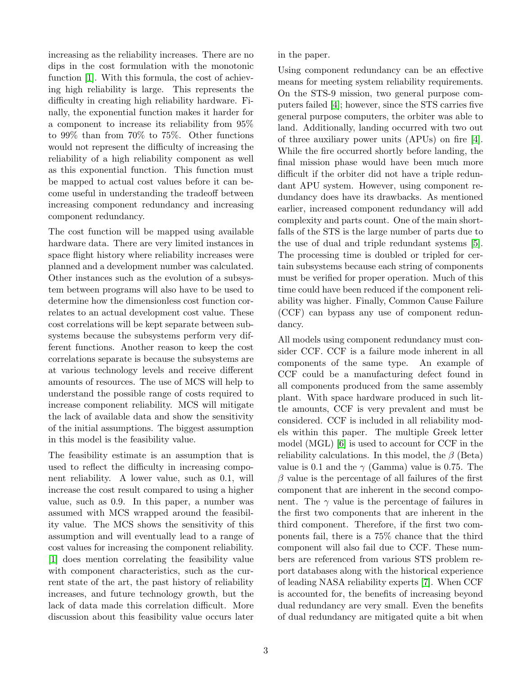increasing as the reliability increases. There are no dips in the cost formulation with the monotonic function [\[1\]](#page-7-0). With this formula, the cost of achieving high reliability is large. This represents the difficulty in creating high reliability hardware. Finally, the exponential function makes it harder for a component to increase its reliability from 95% to 99% than from 70% to 75%. Other functions would not represent the difficulty of increasing the reliability of a high reliability component as well as this exponential function. This function must be mapped to actual cost values before it can become useful in understanding the tradeoff between increasing component redundancy and increasing component redundancy.

The cost function will be mapped using available hardware data. There are very limited instances in space flight history where reliability increases were planned and a development number was calculated. Other instances such as the evolution of a subsystem between programs will also have to be used to determine how the dimensionless cost function correlates to an actual development cost value. These cost correlations will be kept separate between subsystems because the subsystems perform very different functions. Another reason to keep the cost correlations separate is because the subsystems are at various technology levels and receive different amounts of resources. The use of MCS will help to understand the possible range of costs required to increase component reliability. MCS will mitigate the lack of available data and show the sensitivity of the initial assumptions. The biggest assumption in this model is the feasibility value.

The feasibility estimate is an assumption that is used to reflect the difficulty in increasing component reliability. A lower value, such as 0.1, will increase the cost result compared to using a higher value, such as 0.9. In this paper, a number was assumed with MCS wrapped around the feasibility value. The MCS shows the sensitivity of this assumption and will eventually lead to a range of cost values for increasing the component reliability. [\[1\]](#page-7-0) does mention correlating the feasibility value with component characteristics, such as the current state of the art, the past history of reliability increases, and future technology growth, but the lack of data made this correlation difficult. More discussion about this feasibility value occurs later

in the paper.

Using component redundancy can be an effective means for meeting system reliability requirements. On the STS-9 mission, two general purpose computers failed [\[4\]](#page-7-3); however, since the STS carries five general purpose computers, the orbiter was able to land. Additionally, landing occurred with two out of three auxiliary power units (APUs) on fire [\[4\]](#page-7-3). While the fire occurred shortly before landing, the final mission phase would have been much more difficult if the orbiter did not have a triple redundant APU system. However, using component redundancy does have its drawbacks. As mentioned earlier, increased component redundancy will add complexity and parts count. One of the main shortfalls of the STS is the large number of parts due to the use of dual and triple redundant systems [\[5\]](#page-7-4). The processing time is doubled or tripled for certain subsystems because each string of components must be verified for proper operation. Much of this time could have been reduced if the component reliability was higher. Finally, Common Cause Failure (CCF) can bypass any use of component redundancy.

All models using component redundancy must consider CCF. CCF is a failure mode inherent in all components of the same type. An example of CCF could be a manufacturing defect found in all components produced from the same assembly plant. With space hardware produced in such little amounts, CCF is very prevalent and must be considered. CCF is included in all reliability models within this paper. The multiple Greek letter model (MGL) [\[6\]](#page-7-5) is used to account for CCF in the reliability calculations. In this model, the  $\beta$  (Beta) value is 0.1 and the  $\gamma$  (Gamma) value is 0.75. The  $\beta$  value is the percentage of all failures of the first component that are inherent in the second component. The  $\gamma$  value is the percentage of failures in the first two components that are inherent in the third component. Therefore, if the first two components fail, there is a 75% chance that the third component will also fail due to CCF. These numbers are referenced from various STS problem report databases along with the historical experience of leading NASA reliability experts [\[7\]](#page-7-6). When CCF is accounted for, the benefits of increasing beyond dual redundancy are very small. Even the benefits of dual redundancy are mitigated quite a bit when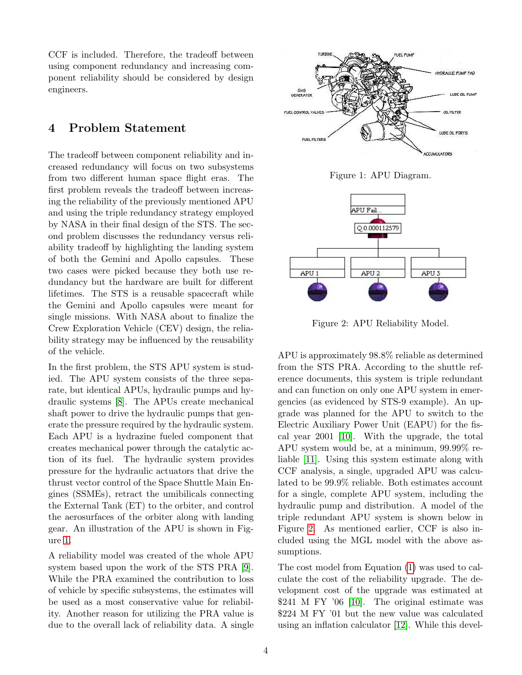CCF is included. Therefore, the tradeoff between using component redundancy and increasing component reliability should be considered by design engineers.

#### 4 Problem Statement

The tradeoff between component reliability and increased redundancy will focus on two subsystems from two different human space flight eras. The first problem reveals the tradeoff between increasing the reliability of the previously mentioned APU and using the triple redundancy strategy employed by NASA in their final design of the STS. The second problem discusses the redundancy versus reliability tradeoff by highlighting the landing system of both the Gemini and Apollo capsules. These two cases were picked because they both use redundancy but the hardware are built for different lifetimes. The STS is a reusable spacecraft while the Gemini and Apollo capsules were meant for single missions. With NASA about to finalize the Crew Exploration Vehicle (CEV) design, the reliability strategy may be influenced by the reusability of the vehicle.

In the first problem, the STS APU system is studied. The APU system consists of the three separate, but identical APUs, hydraulic pumps and hydraulic systems [\[8\]](#page-7-7). The APUs create mechanical shaft power to drive the hydraulic pumps that generate the pressure required by the hydraulic system. Each APU is a hydrazine fueled component that creates mechanical power through the catalytic action of its fuel. The hydraulic system provides pressure for the hydraulic actuators that drive the thrust vector control of the Space Shuttle Main Engines (SSMEs), retract the umibilicals connecting the External Tank (ET) to the orbiter, and control the aerosurfaces of the orbiter along with landing gear. An illustration of the APU is shown in Figure [1.](#page-3-0)

A reliability model was created of the whole APU system based upon the work of the STS PRA [\[9\]](#page-7-8). While the PRA examined the contribution to loss of vehicle by specific subsystems, the estimates will be used as a most conservative value for reliability. Another reason for utilizing the PRA value is due to the overall lack of reliability data. A single



<span id="page-3-0"></span>Figure 1: APU Diagram.



<span id="page-3-1"></span>Figure 2: APU Reliability Model.

APU is approximately 98.8% reliable as determined from the STS PRA. According to the shuttle reference documents, this system is triple redundant and can function on only one APU system in emergencies (as evidenced by STS-9 example). An upgrade was planned for the APU to switch to the Electric Auxiliary Power Unit (EAPU) for the fiscal year 2001 [\[10\]](#page-7-9). With the upgrade, the total APU system would be, at a minimum, 99.99% reliable [\[11\]](#page-7-10). Using this system estimate along with CCF analysis, a single, upgraded APU was calculated to be 99.9% reliable. Both estimates account for a single, complete APU system, including the hydraulic pump and distribution. A model of the triple redundant APU system is shown below in Figure [2.](#page-3-1) As mentioned earlier, CCF is also included using the MGL model with the above assumptions.

The cost model from Equation [\(1\)](#page-1-0) was used to calculate the cost of the reliability upgrade. The development cost of the upgrade was estimated at \$241 M FY '06 [\[10\]](#page-7-9). The original estimate was \$224 M FY '01 but the new value was calculated using an inflation calculator [\[12\]](#page-7-11). While this devel-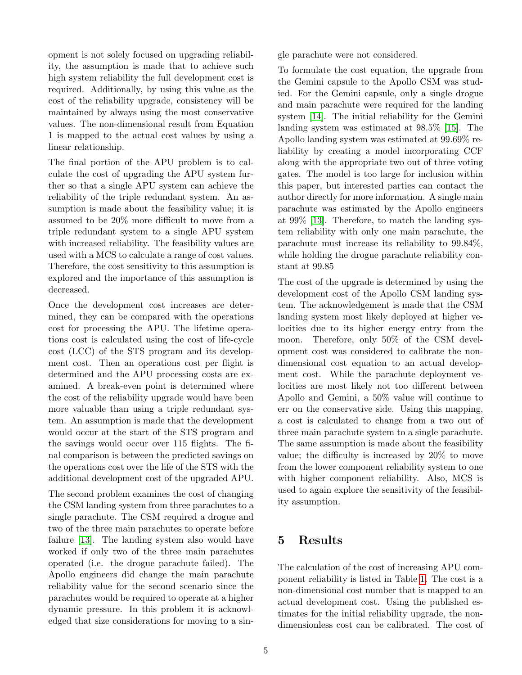opment is not solely focused on upgrading reliability, the assumption is made that to achieve such high system reliability the full development cost is required. Additionally, by using this value as the cost of the reliability upgrade, consistency will be maintained by always using the most conservative values. The non-dimensional result from Equation 1 is mapped to the actual cost values by using a linear relationship.

The final portion of the APU problem is to calculate the cost of upgrading the APU system further so that a single APU system can achieve the reliability of the triple redundant system. An assumption is made about the feasibility value; it is assumed to be 20% more difficult to move from a triple redundant system to a single APU system with increased reliability. The feasibility values are used with a MCS to calculate a range of cost values. Therefore, the cost sensitivity to this assumption is explored and the importance of this assumption is decreased.

Once the development cost increases are determined, they can be compared with the operations cost for processing the APU. The lifetime operations cost is calculated using the cost of life-cycle cost (LCC) of the STS program and its development cost. Then an operations cost per flight is determined and the APU processing costs are examined. A break-even point is determined where the cost of the reliability upgrade would have been more valuable than using a triple redundant system. An assumption is made that the development would occur at the start of the STS program and the savings would occur over 115 flights. The final comparison is between the predicted savings on the operations cost over the life of the STS with the additional development cost of the upgraded APU.

The second problem examines the cost of changing the CSM landing system from three parachutes to a single parachute. The CSM required a drogue and two of the three main parachutes to operate before failure [\[13\]](#page-7-12). The landing system also would have worked if only two of the three main parachutes operated (i.e. the drogue parachute failed). The Apollo engineers did change the main parachute reliability value for the second scenario since the parachutes would be required to operate at a higher dynamic pressure. In this problem it is acknowledged that size considerations for moving to a single parachute were not considered.

To formulate the cost equation, the upgrade from the Gemini capsule to the Apollo CSM was studied. For the Gemini capsule, only a single drogue and main parachute were required for the landing system [\[14\]](#page-7-13). The initial reliability for the Gemini landing system was estimated at 98.5% [\[15\]](#page-7-14). The Apollo landing system was estimated at 99.69% reliability by creating a model incorporating CCF along with the appropriate two out of three voting gates. The model is too large for inclusion within this paper, but interested parties can contact the author directly for more information. A single main parachute was estimated by the Apollo engineers at 99% [\[13\]](#page-7-12). Therefore, to match the landing system reliability with only one main parachute, the parachute must increase its reliability to 99.84%, while holding the drogue parachute reliability constant at 99.85

The cost of the upgrade is determined by using the development cost of the Apollo CSM landing system. The acknowledgement is made that the CSM landing system most likely deployed at higher velocities due to its higher energy entry from the moon. Therefore, only 50% of the CSM development cost was considered to calibrate the nondimensional cost equation to an actual development cost. While the parachute deployment velocities are most likely not too different between Apollo and Gemini, a 50% value will continue to err on the conservative side. Using this mapping, a cost is calculated to change from a two out of three main parachute system to a single parachute. The same assumption is made about the feasibility value; the difficulty is increased by 20% to move from the lower component reliability system to one with higher component reliability. Also, MCS is used to again explore the sensitivity of the feasibility assumption.

## 5 Results

The calculation of the cost of increasing APU component reliability is listed in Table [1.](#page-5-0) The cost is a non-dimensional cost number that is mapped to an actual development cost. Using the published estimates for the initial reliability upgrade, the nondimensionless cost can be calibrated. The cost of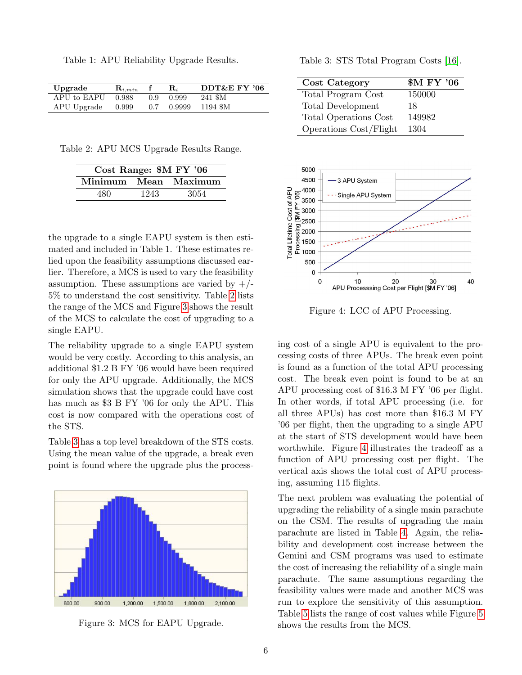<span id="page-5-0"></span>Table 1: APU Reliability Upgrade Results.

| Upgrade     | $\mathbf{R}_{i,min}$ |     | $\mathbf{R}_{i}$ | DDT&E FY '06 |
|-------------|----------------------|-----|------------------|--------------|
| APU to EAPU | 0.988                | 0.9 | 0.999            | 241 \$M      |
| APU Upgrade | 0.999                | 0.7 | 0.9999           | 1194 \$M     |

Table 2: APU MCS Upgrade Results Range.

<span id="page-5-1"></span>

| Cost Range: \$M FY '06 |      |                      |  |
|------------------------|------|----------------------|--|
|                        |      | Minimum Mean Maximum |  |
| 480                    | 1243 | 3054                 |  |

the upgrade to a single EAPU system is then estimated and included in Table 1. These estimates relied upon the feasibility assumptions discussed earlier. Therefore, a MCS is used to vary the feasibility assumption. These assumptions are varied by  $+/-$ 5% to understand the cost sensitivity. Table [2](#page-5-1) lists the range of the MCS and Figure [3](#page-5-2) shows the result of the MCS to calculate the cost of upgrading to a single EAPU.

The reliability upgrade to a single EAPU system would be very costly. According to this analysis, an additional \$1.2 B FY '06 would have been required for only the APU upgrade. Additionally, the MCS simulation shows that the upgrade could have cost has much as \$3 B FY '06 for only the APU. This cost is now compared with the operations cost of the STS.

Table [3](#page-5-3) has a top level breakdown of the STS costs. Using the mean value of the upgrade, a break even point is found where the upgrade plus the process-



<span id="page-5-2"></span>Figure 3: MCS for EAPU Upgrade.

<span id="page-5-3"></span>Table 3: STS Total Program Costs [\[16\]](#page-7-15).

| Cost Category          | <b>\$M FY '06</b> |
|------------------------|-------------------|
| Total Program Cost     | 150000            |
| Total Development      | 18                |
| Total Operations Cost  | 149982            |
| Operations Cost/Flight | 1304              |



<span id="page-5-4"></span>Figure 4: LCC of APU Processing.

ing cost of a single APU is equivalent to the processing costs of three APUs. The break even point is found as a function of the total APU processing cost. The break even point is found to be at an APU processing cost of \$16.3 M FY '06 per flight. In other words, if total APU processing (i.e. for all three APUs) has cost more than \$16.3 M FY '06 per flight, then the upgrading to a single APU at the start of STS development would have been worthwhile. Figure [4](#page-5-4) illustrates the tradeoff as a function of APU processing cost per flight. The vertical axis shows the total cost of APU processing, assuming 115 flights.

The next problem was evaluating the potential of upgrading the reliability of a single main parachute on the CSM. The results of upgrading the main parachute are listed in Table [4.](#page-6-0) Again, the reliability and development cost increase between the Gemini and CSM programs was used to estimate the cost of increasing the reliability of a single main parachute. The same assumptions regarding the feasibility values were made and another MCS was run to explore the sensitivity of this assumption. Table [5](#page-6-1) lists the range of cost values while Figure [5](#page-6-2) shows the results from the MCS.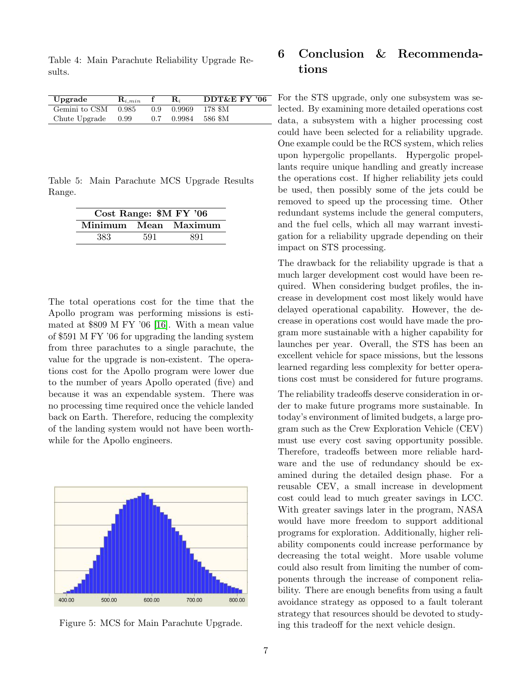<span id="page-6-0"></span>Table 4: Main Parachute Reliability Upgrade Results.

| Upgrade              | $\mathbf{R}_{i,min}$ |               | $\mathbf{R}_{i}$ | DDT&E FY '06     |
|----------------------|----------------------|---------------|------------------|------------------|
| Gemini to CSM 0.985  |                      |               | 0.9 0.9969       | - 178 \$M        |
| Chute Upgrade $0.99$ |                      | $0.7^{\circ}$ |                  | $0.9984$ 586 \$M |

Table 5: Main Parachute MCS Upgrade Results Range.

<span id="page-6-1"></span>

| Cost Range: \$M FY '06 |     |                      |  |
|------------------------|-----|----------------------|--|
|                        |     | Minimum Mean Maximum |  |
| 383                    | 591 | 891                  |  |

The total operations cost for the time that the Apollo program was performing missions is estimated at \$809 M FY '06 [\[16\]](#page-7-15). With a mean value of \$591 M FY '06 for upgrading the landing system from three parachutes to a single parachute, the value for the upgrade is non-existent. The operations cost for the Apollo program were lower due to the number of years Apollo operated (five) and because it was an expendable system. There was no processing time required once the vehicle landed back on Earth. Therefore, reducing the complexity of the landing system would not have been worthwhile for the Apollo engineers.



<span id="page-6-2"></span>

### 6 Conclusion & Recommendations

For the STS upgrade, only one subsystem was selected. By examining more detailed operations cost data, a subsystem with a higher processing cost could have been selected for a reliability upgrade. One example could be the RCS system, which relies upon hypergolic propellants. Hypergolic propellants require unique handling and greatly increase the operations cost. If higher reliability jets could be used, then possibly some of the jets could be removed to speed up the processing time. Other redundant systems include the general computers, and the fuel cells, which all may warrant investigation for a reliability upgrade depending on their impact on STS processing.

The drawback for the reliability upgrade is that a much larger development cost would have been required. When considering budget profiles, the increase in development cost most likely would have delayed operational capability. However, the decrease in operations cost would have made the program more sustainable with a higher capability for launches per year. Overall, the STS has been an excellent vehicle for space missions, but the lessons learned regarding less complexity for better operations cost must be considered for future programs.

The reliability tradeoffs deserve consideration in order to make future programs more sustainable. In today's environment of limited budgets, a large program such as the Crew Exploration Vehicle (CEV) must use every cost saving opportunity possible. Therefore, tradeoffs between more reliable hardware and the use of redundancy should be examined during the detailed design phase. For a reusable CEV, a small increase in development cost could lead to much greater savings in LCC. With greater savings later in the program, NASA would have more freedom to support additional programs for exploration. Additionally, higher reliability components could increase performance by decreasing the total weight. More usable volume could also result from limiting the number of components through the increase of component reliability. There are enough benefits from using a fault avoidance strategy as opposed to a fault tolerant strategy that resources should be devoted to studying this tradeoff for the next vehicle design.